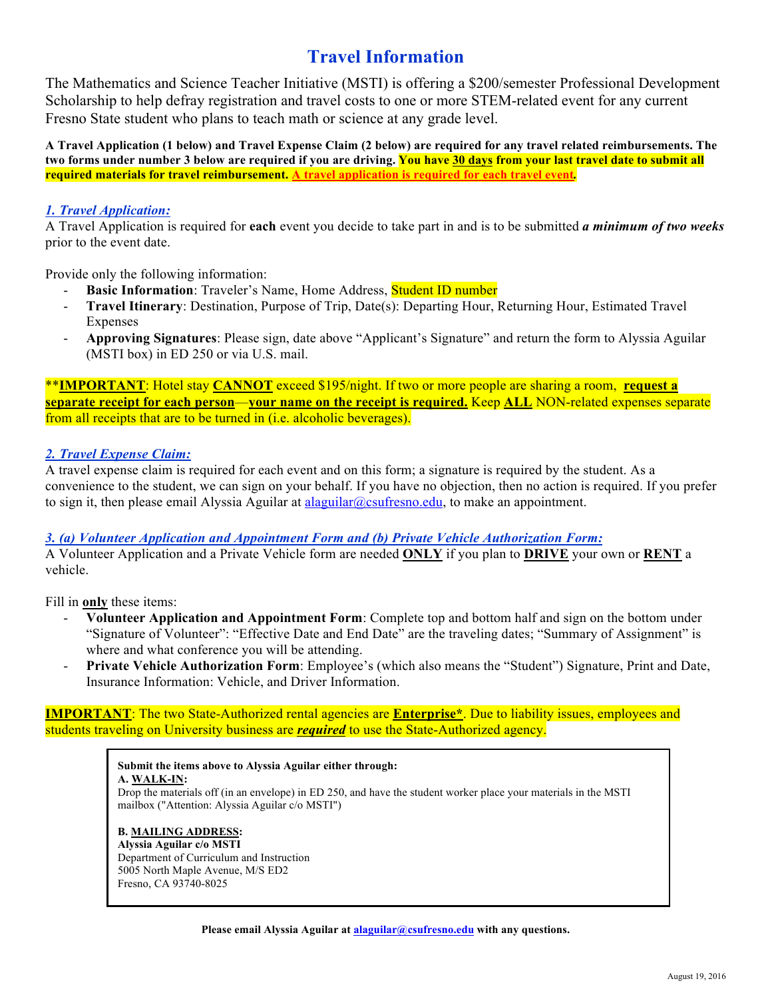# **Travel Information**

The Mathematics and Science Teacher Initiative (MSTI) is offering a \$200/semester Professional Development Scholarship to help defray registration and travel costs to one or more STEM-related event for any current Fresno State student who plans to teach math or science at any grade level.

**A Travel Application (1 below) and Travel Expense Claim (2 below) are required for any travel related reimbursements. The two forms under number 3 below are required if you are driving. You have 30 days from your last travel date to submit all required materials for travel reimbursement. A travel application is required for each travel event***.*

#### *1. Travel Application:*

A Travel Application is required for **each** event you decide to take part in and is to be submitted *a minimum of two weeks* prior to the event date.

Provide only the following information:

- **Basic Information**: Traveler's Name, Home Address, Student ID number
- **Travel Itinerary**: Destination, Purpose of Trip, Date(s): Departing Hour, Returning Hour, Estimated Travel Expenses
- **Approving Signatures**: Please sign, date above "Applicant's Signature" and return the form to Alyssia Aguilar (MSTI box) in ED 250 or via U.S. mail.

\*\***IMPORTANT**: Hotel stay **CANNOT** exceed \$195/night. If two or more people are sharing a room, **request a separate receipt for each person**—**your name on the receipt is required.** Keep **ALL** NON-related expenses separate from all receipts that are to be turned in (i.e. alcoholic beverages).

#### *2. Travel Expense Claim:*

A travel expense claim is required for each event and on this form; a signature is required by the student. As a convenience to the student, we can sign on your behalf. If you have no objection, then no action is required. If you prefer to sign it, then please email Alyssia Aguilar at alaguilar@csufresno.edu, to make an appointment.

#### *3. (a) Volunteer Application and Appointment Form and (b) Private Vehicle Authorization Form:*

A Volunteer Application and a Private Vehicle form are needed **ONLY** if you plan to **DRIVE** your own or **RENT** a vehicle.

Fill in **only** these items:

- **Volunteer Application and Appointment Form**: Complete top and bottom half and sign on the bottom under "Signature of Volunteer": "Effective Date and End Date" are the traveling dates; "Summary of Assignment" is where and what conference you will be attending.
- Private Vehicle Authorization Form: Employee's (which also means the "Student") Signature, Print and Date, Insurance Information: Vehicle, and Driver Information.

**IMPORTANT**: The two State-Authorized rental agencies are **Enterprise\***. Due to liability issues, employees and students traveling on University business are *required* to use the State-Authorized agency.

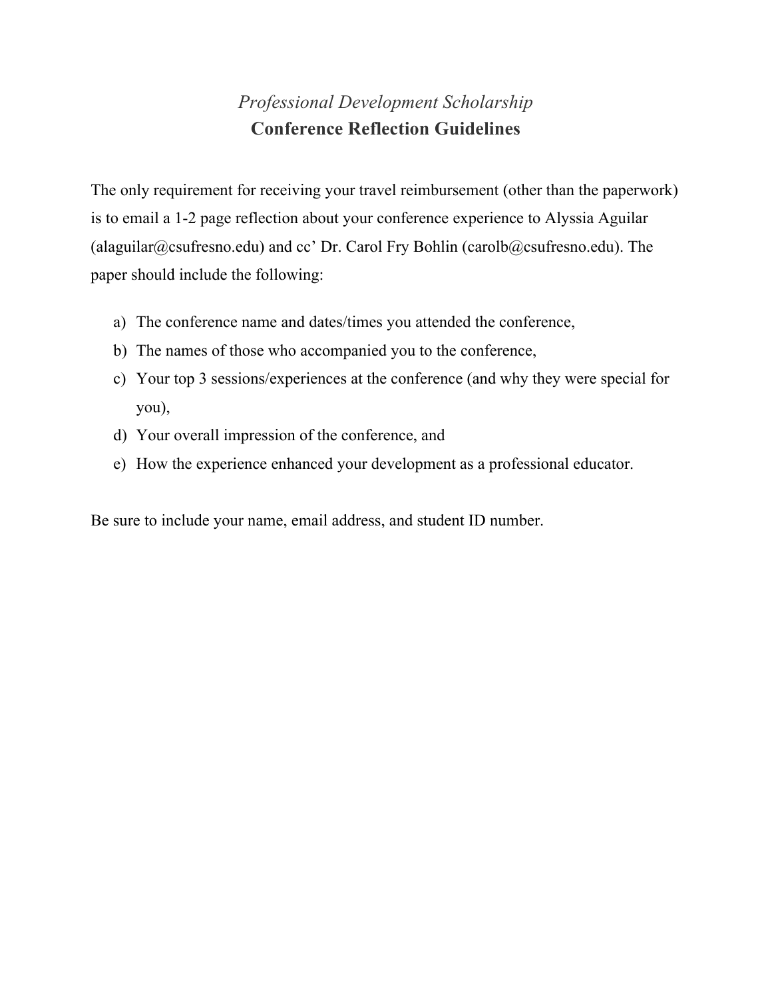# *Professional Development Scholarship* **Conference Reflection Guidelines**

The only requirement for receiving your travel reimbursement (other than the paperwork) is to email a 1-2 page reflection about your conference experience to Alyssia Aguilar (alaguilar@csufresno.edu) and cc' Dr. Carol Fry Bohlin (carolb@csufresno.edu). The paper should include the following:

- a) The conference name and dates/times you attended the conference,
- b) The names of those who accompanied you to the conference,
- c) Your top 3 sessions/experiences at the conference (and why they were special for you),
- d) Your overall impression of the conference, and
- e) How the experience enhanced your development as a professional educator.

Be sure to include your name, email address, and student ID number.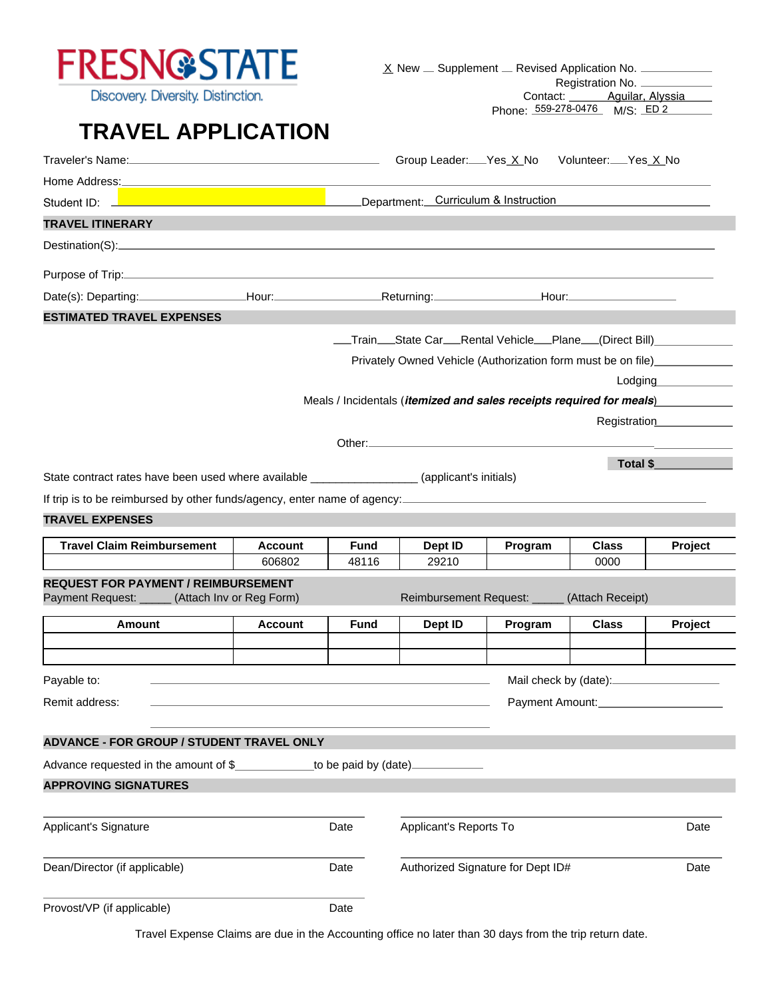

Discovery. Diversity. Distinction.

 $\underline{X}$  New  $\underline{\phantom{X}}$  Supplement  $\underline{\phantom{X}}$  Revised Application No.  $\underline{\phantom{X}}$ 

Registration No. Contact: <u>Contact:</u> Aguilar, Alyssia Phone: 559-278-0476 M/S: ED 2

# **TRAVEL APPLICATION**

| Traveler's Name: <u>Charles Announce Charles Announce</u> Croup Leader: Yes X No Volunteer: Yes X No |                                                                        |                      |                                                                               |         |                      |                           |
|------------------------------------------------------------------------------------------------------|------------------------------------------------------------------------|----------------------|-------------------------------------------------------------------------------|---------|----------------------|---------------------------|
|                                                                                                      | Student ID: <u>New Alliance Communication</u> Curriculum & Instruction |                      |                                                                               |         |                      |                           |
| <b>TRAVEL ITINERARY</b>                                                                              |                                                                        |                      |                                                                               |         |                      |                           |
|                                                                                                      |                                                                        |                      |                                                                               |         |                      |                           |
|                                                                                                      |                                                                        |                      |                                                                               |         |                      |                           |
|                                                                                                      |                                                                        |                      |                                                                               |         |                      |                           |
|                                                                                                      |                                                                        |                      |                                                                               |         |                      |                           |
| <b>ESTIMATED TRAVEL EXPENSES</b>                                                                     |                                                                        |                      |                                                                               |         |                      |                           |
|                                                                                                      |                                                                        |                      | __Train__State Car__Rental Vehicle__Plane__(Direct Bill)___________           |         |                      |                           |
|                                                                                                      |                                                                        |                      | Privately Owned Vehicle (Authorization form must be on file)____________      |         |                      |                           |
|                                                                                                      |                                                                        |                      |                                                                               |         |                      | Lodging<br><u>Lodging</u> |
|                                                                                                      |                                                                        |                      | Meals / Incidentals ( <i>itemized and sales receipts required for meals</i> ) |         |                      |                           |
|                                                                                                      |                                                                        |                      |                                                                               |         |                      | Registration              |
|                                                                                                      |                                                                        |                      |                                                                               |         |                      |                           |
| State contract rates have been used where available ____________________(applicant's initials)       |                                                                        |                      |                                                                               |         | Total \$             |                           |
|                                                                                                      |                                                                        |                      |                                                                               |         |                      |                           |
| <b>TRAVEL EXPENSES</b>                                                                               |                                                                        |                      |                                                                               |         |                      |                           |
|                                                                                                      |                                                                        |                      |                                                                               |         |                      |                           |
| <b>Travel Claim Reimbursement</b>                                                                    | <b>Account</b><br>606802                                               | <b>Fund</b><br>48116 | Dept ID<br>29210                                                              | Program | <b>Class</b><br>0000 | Project                   |
| <b>REQUEST FOR PAYMENT / REIMBURSEMENT</b>                                                           |                                                                        |                      |                                                                               |         |                      |                           |
| Payment Request: _____ (Attach Inv or Reg Form)                                                      |                                                                        |                      | Reimbursement Request: _____                                                  |         | (Attach Receipt)     |                           |
| Amount                                                                                               | <b>Account</b>                                                         | <b>Fund</b>          | Dept ID                                                                       | Program | <b>Class</b>         | Project                   |
|                                                                                                      |                                                                        |                      |                                                                               |         |                      |                           |
|                                                                                                      |                                                                        |                      |                                                                               |         |                      |                           |
| Payable to:                                                                                          |                                                                        |                      |                                                                               |         |                      |                           |
| Remit address:                                                                                       |                                                                        |                      |                                                                               |         | Payment Amount:      |                           |
| <b>ADVANCE - FOR GROUP / STUDENT TRAVEL ONLY</b>                                                     |                                                                        |                      |                                                                               |         |                      |                           |
| Advance requested in the amount of $\frac{1}{2}$ to be paid by (date)                                |                                                                        |                      |                                                                               |         |                      |                           |
| <b>APPROVING SIGNATURES</b>                                                                          |                                                                        |                      |                                                                               |         |                      |                           |
| <b>Applicant's Signature</b>                                                                         |                                                                        | Date                 | Applicant's Reports To                                                        |         |                      | Date                      |
|                                                                                                      |                                                                        |                      |                                                                               |         |                      |                           |
| Dean/Director (if applicable)                                                                        |                                                                        | Date                 | Authorized Signature for Dept ID#                                             |         |                      | Date                      |
| Provost/VP (if applicable)                                                                           |                                                                        | Date                 |                                                                               |         |                      |                           |

Travel Expense Claims are due in the Accounting office no later than 30 days from the trip return date.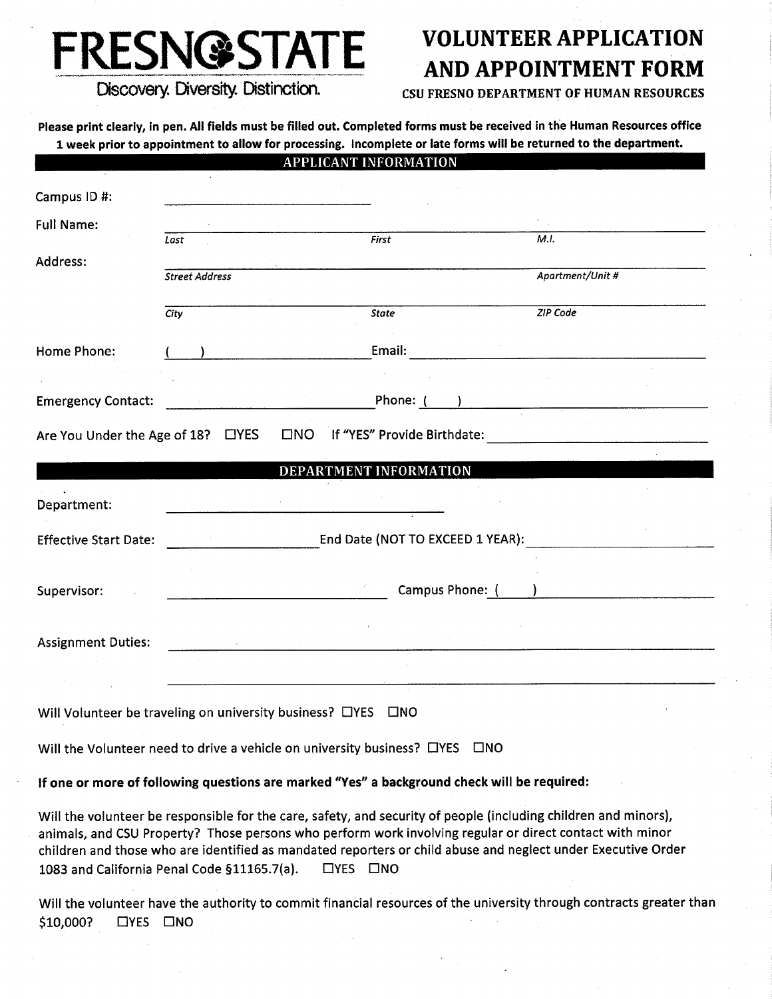# **FRESN@STATE**

# **VOLUNTEER APPLICATION AND APPOINTMENT FORM**

Discovery. Diversity. Distinction.

#### **CSU FRESNO DEPARTMENT OF HUMAN RESOURCES**

Please print clearly, in pen. All fields must be filled out. Completed forms must be received in the Human Resources office 1 week prior to appointment to allow for processing. Incomplete or late forms will be returned to the department.

|                                                                                                                                                                                                                                                                                                                                                                                            |                       |                                                                                                                                                                                                                                                                                                                                                                                                      | <b>APPLICANT INFORMATION</b>     |                   |                  |  |
|--------------------------------------------------------------------------------------------------------------------------------------------------------------------------------------------------------------------------------------------------------------------------------------------------------------------------------------------------------------------------------------------|-----------------------|------------------------------------------------------------------------------------------------------------------------------------------------------------------------------------------------------------------------------------------------------------------------------------------------------------------------------------------------------------------------------------------------------|----------------------------------|-------------------|------------------|--|
| Campus ID#:                                                                                                                                                                                                                                                                                                                                                                                |                       |                                                                                                                                                                                                                                                                                                                                                                                                      |                                  |                   |                  |  |
| <b>Full Name:</b>                                                                                                                                                                                                                                                                                                                                                                          | Last                  |                                                                                                                                                                                                                                                                                                                                                                                                      | First                            |                   | M.I.             |  |
| Address:                                                                                                                                                                                                                                                                                                                                                                                   | <b>Street Address</b> |                                                                                                                                                                                                                                                                                                                                                                                                      |                                  |                   | Apartment/Unit # |  |
|                                                                                                                                                                                                                                                                                                                                                                                            | <b>City</b>           |                                                                                                                                                                                                                                                                                                                                                                                                      | State                            |                   | ZIP Code         |  |
| Home Phone:                                                                                                                                                                                                                                                                                                                                                                                |                       |                                                                                                                                                                                                                                                                                                                                                                                                      | Email:                           |                   |                  |  |
| <b>Emergency Contact:</b>                                                                                                                                                                                                                                                                                                                                                                  |                       |                                                                                                                                                                                                                                                                                                                                                                                                      | Phone: $(\_\_\_\_$               |                   |                  |  |
| Are You Under the Age of 18? □ YES                                                                                                                                                                                                                                                                                                                                                         |                       |                                                                                                                                                                                                                                                                                                                                                                                                      | □NO If "YES" Provide Birthdate:  |                   |                  |  |
|                                                                                                                                                                                                                                                                                                                                                                                            |                       |                                                                                                                                                                                                                                                                                                                                                                                                      | DEPARTMENT INFORMATION           |                   |                  |  |
| Department:                                                                                                                                                                                                                                                                                                                                                                                |                       |                                                                                                                                                                                                                                                                                                                                                                                                      |                                  |                   |                  |  |
| <b>Effective Start Date:</b>                                                                                                                                                                                                                                                                                                                                                               |                       |                                                                                                                                                                                                                                                                                                                                                                                                      | End Date (NOT TO EXCEED 1 YEAR): |                   |                  |  |
| Supervisor:                                                                                                                                                                                                                                                                                                                                                                                |                       |                                                                                                                                                                                                                                                                                                                                                                                                      |                                  | Campus Phone: ( ) |                  |  |
| <b>Assignment Duties:</b>                                                                                                                                                                                                                                                                                                                                                                  |                       | $\label{eq:2} \mathcal{L}(\mathcal{L}) = \sum_{i=1}^n \frac{1}{\mathcal{L}(\mathcal{L})^2} \sum_{i=1}^n \frac{1}{\mathcal{L}(\mathcal{L})^2} \sum_{i=1}^n \frac{1}{\mathcal{L}(\mathcal{L})^2} \sum_{i=1}^n \frac{1}{\mathcal{L}(\mathcal{L})^2} \sum_{i=1}^n \frac{1}{\mathcal{L}(\mathcal{L})^2} \sum_{i=1}^n \frac{1}{\mathcal{L}(\mathcal{L})^2} \sum_{i=1}^n \frac{1}{\mathcal{L}(\mathcal{L})$ |                                  |                   |                  |  |
|                                                                                                                                                                                                                                                                                                                                                                                            |                       |                                                                                                                                                                                                                                                                                                                                                                                                      |                                  |                   |                  |  |
| Will Volunteer be traveling on university business? OYES                                                                                                                                                                                                                                                                                                                                   |                       |                                                                                                                                                                                                                                                                                                                                                                                                      | $\square$ NO                     |                   |                  |  |
| Will the Volunteer need to drive a vehicle on university business? $\Box$ YES $\Box$ NO                                                                                                                                                                                                                                                                                                    |                       |                                                                                                                                                                                                                                                                                                                                                                                                      |                                  |                   |                  |  |
| If one or more of following questions are marked "Yes" a background check will be required:                                                                                                                                                                                                                                                                                                |                       |                                                                                                                                                                                                                                                                                                                                                                                                      |                                  |                   |                  |  |
| Will the volunteer be responsible for the care, safety, and security of people (including children and minors),<br>animals, and CSU Property? Those persons who perform work involving regular or direct contact with minor<br>children and those who are identified as mandated reporters or child abuse and neglect under Executive Order<br>1083 and California Penal Code §11165.7(a). |                       | $\Box$ YES $\Box$ NO                                                                                                                                                                                                                                                                                                                                                                                 |                                  |                   |                  |  |
| Will the volunteer have the authority to commit financial resources of the university through contracts greater than                                                                                                                                                                                                                                                                       |                       |                                                                                                                                                                                                                                                                                                                                                                                                      |                                  |                   |                  |  |

\$10,000?  $\Box$ YES  $\square$ NO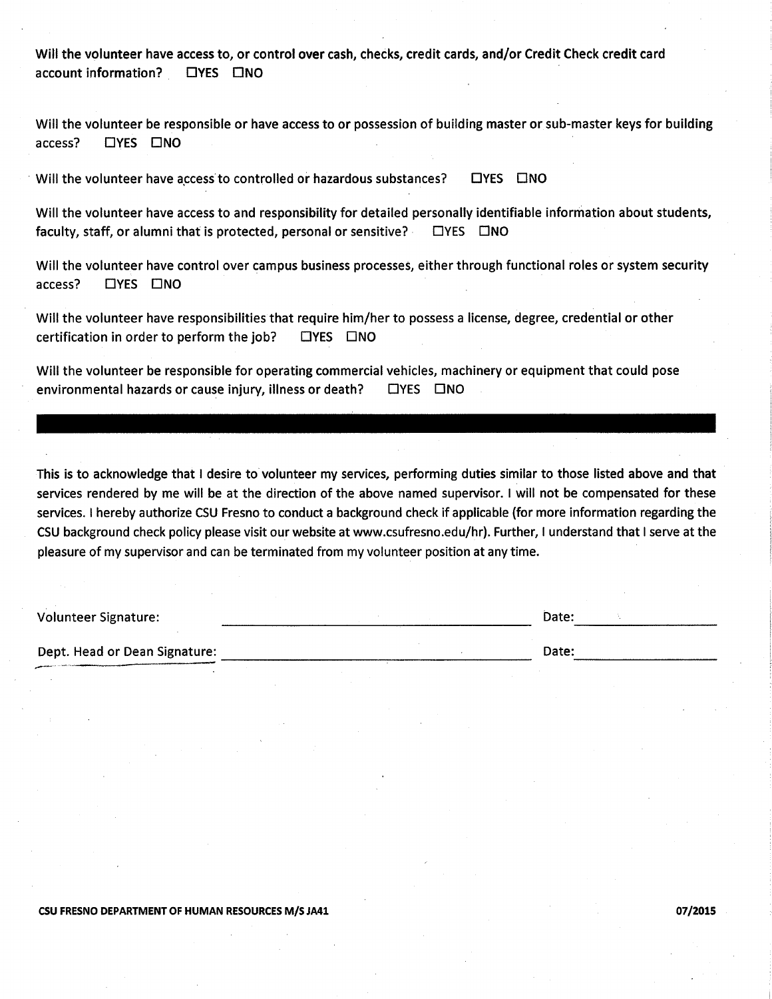Will the volunteer have access to, or control over cash, checks, credit cards, and/or Credit Check credit card account information? **CIYES CINO** 

Will the volunteer be responsible or have access to or possession of building master or sub-master keys for building **CIYES CINO** access?

Will the volunteer have access to controlled or hazardous substances? **LIYES LINO** 

Will the volunteer have access to and responsibility for detailed personally identifiable information about students, faculty, staff, or alumni that is protected, personal or sensitive?  $\Box$ YES  $\Box$ NO

Will the volunteer have control over campus business processes, either through functional roles or system security access? **EYES ENO** 

Will the volunteer have responsibilities that require him/her to possess a license, degree, credential or other certification in order to perform the job?  $\Box$ YES  $\Box$ NO

Will the volunteer be responsible for operating commercial vehicles, machinery or equipment that could pose environmental hazards or cause injury, illness or death? **CIYES CINO** 

This is to acknowledge that I desire to volunteer my services, performing duties similar to those listed above and that services rendered by me will be at the direction of the above named supervisor. I will not be compensated for these services. I hereby authorize CSU Fresno to conduct a background check if applicable (for more information regarding the CSU background check policy please visit our website at www.csufresno.edu/hr). Further, I understand that I serve at the pleasure of my supervisor and can be terminated from my volunteer position at any time.

| <b>Volunteer Signature:</b>   | Date: |
|-------------------------------|-------|
|                               |       |
| Dept. Head or Dean Signature: | Date: |

#### CSU FRESNO DEPARTMENT OF HUMAN RESOURCES M/S JA41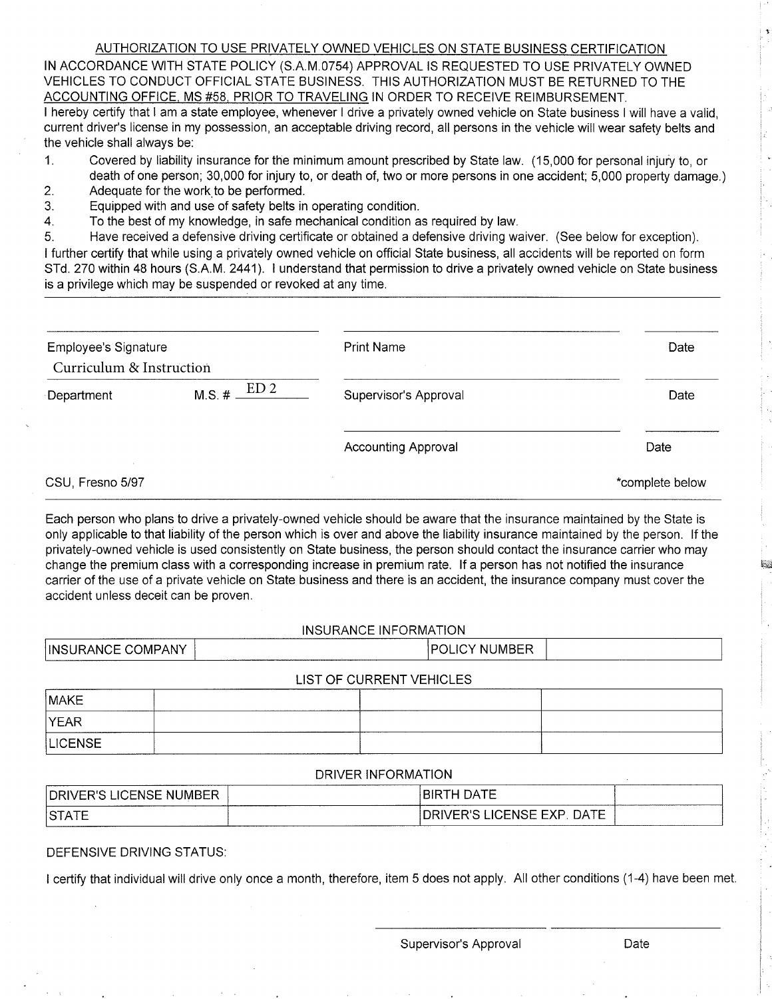#### AUTHORIZATION TO USE PRIVATELY OWNED VEHICLES ON STATE BUSINESS CERTIFICATION

IN ACCORDANCE WITH STATE POLICY (S.A.M.0754) APPROVAL IS REQUESTED TO USE PRIVATELY OWNED VEHICLES TO CONDUCT OFFICIAL STATE BUSINESS. THIS AUTHORIZATION MUST BE RETURNED TO THE ACCOUNTING OFFICE, MS #58, PRIOR TO TRAVELING IN ORDER TO RECEIVE REIMBURSEMENT.

I hereby certify that I am a state employee, whenever I drive a privately owned vehicle on State business I will have a valid. current driver's license in my possession, an acceptable driving record, all persons in the vehicle will wear safety belts and the vehicle shall always be:

- Covered by liability insurance for the minimum amount prescribed by State law. (15,000 for personal injury to, or  $1.$ death of one person; 30,000 for injury to, or death of, two or more persons in one accident; 5,000 property damage.)
- $2<sub>1</sub>$ Adequate for the work to be performed.
- Equipped with and use of safety belts in operating condition. 3.
- $\overline{4}$ To the best of my knowledge, in safe mechanical condition as required by law.

Have received a defensive driving certificate or obtained a defensive driving waiver. (See below for exception). 5. I further certify that while using a privately owned vehicle on official State business, all accidents will be reported on form STd. 270 within 48 hours (S.A.M. 2441). I understand that permission to drive a privately owned vehicle on State business is a privilege which may be suspended or revoked at any time.

| <b>Employee's Signature</b> |                              | <b>Print Name</b>          | Date            |
|-----------------------------|------------------------------|----------------------------|-----------------|
| Curriculum & Instruction    |                              |                            |                 |
| Department                  | ED <sub>2</sub><br>$M.S. \#$ | Supervisor's Approval      | Date            |
|                             |                              | <b>Accounting Approval</b> | Date            |
| CSU, Fresno 5/97            |                              |                            | *complete below |

Each person who plans to drive a privately-owned vehicle should be aware that the insurance maintained by the State is only applicable to that liability of the person which is over and above the liability insurance maintained by the person. If the privately-owned vehicle is used consistently on State business, the person should contact the insurance carrier who may change the premium class with a corresponding increase in premium rate. If a person has not notified the insurance carrier of the use of a private vehicle on State business and there is an accident, the insurance company must cover the accident unless deceit can be proven.

#### INSURANCE INFORMATION

| INSURANCE COMPANY | <b>POLICY NUMBER</b>     |  |
|-------------------|--------------------------|--|
|                   | LIST OF CURRENT VEHICLES |  |

| MAKE           |  |  |
|----------------|--|--|
| <b>YEAR</b>    |  |  |
| <b>LICENSE</b> |  |  |

#### **DRIVER INFORMATION**

| $-$<br><b>DRI</b><br>. IMREP<br><br>:⊢N:N⊨<br>w | ——<br>В١<br>- ہر<br>. .        |  |
|-------------------------------------------------|--------------------------------|--|
| $S$ T<br>--<br>--------------------------       | DATE<br><b>ICENSE EXP</b><br>້ |  |

#### DEFENSIVE DRIVING STATUS:

I certify that individual will drive only once a month, therefore, item 5 does not apply. All other conditions (1-4) have been met.

Supervisor's Approval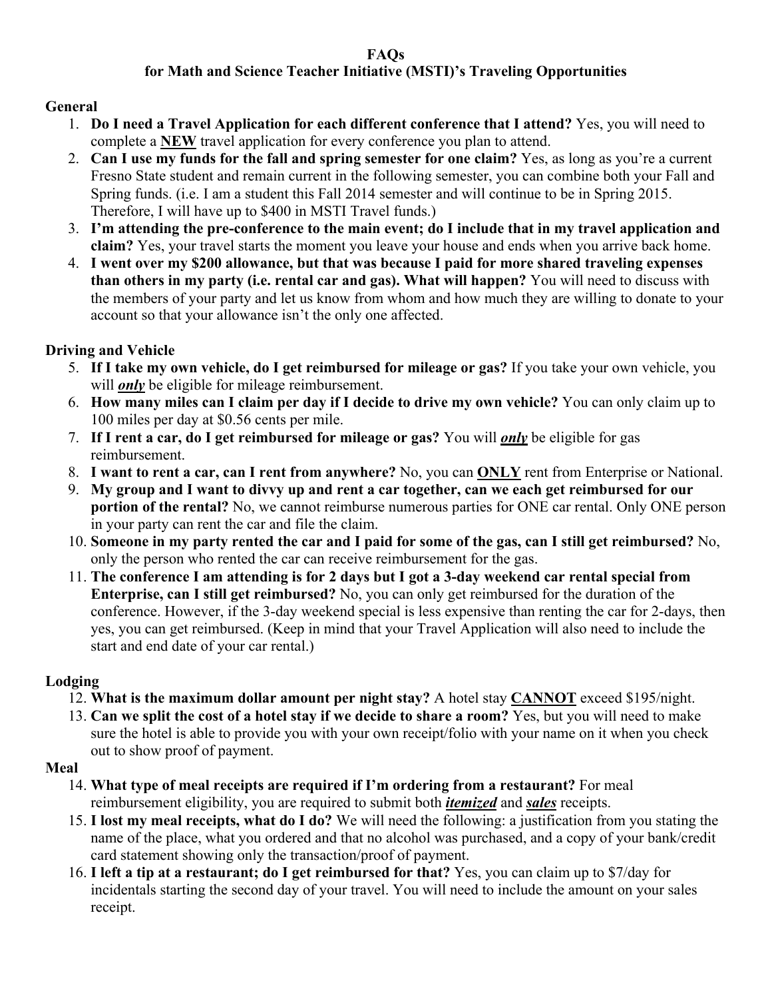# **FAQs**

# **for Math and Science Teacher Initiative (MSTI)'s Traveling Opportunities**

# **General**

- 1. **Do I need a Travel Application for each different conference that I attend?** Yes, you will need to complete a **NEW** travel application for every conference you plan to attend.
- 2. **Can I use my funds for the fall and spring semester for one claim?** Yes, as long as you're a current Fresno State student and remain current in the following semester, you can combine both your Fall and Spring funds. (i.e. I am a student this Fall 2014 semester and will continue to be in Spring 2015. Therefore, I will have up to \$400 in MSTI Travel funds.)
- 3. **I'm attending the pre-conference to the main event; do I include that in my travel application and claim?** Yes, your travel starts the moment you leave your house and ends when you arrive back home.
- 4. **I went over my \$200 allowance, but that was because I paid for more shared traveling expenses than others in my party (i.e. rental car and gas). What will happen?** You will need to discuss with the members of your party and let us know from whom and how much they are willing to donate to your account so that your allowance isn't the only one affected.

# **Driving and Vehicle**

- 5. **If I take my own vehicle, do I get reimbursed for mileage or gas?** If you take your own vehicle, you will *only* be eligible for mileage reimbursement.
- 6. **How many miles can I claim per day if I decide to drive my own vehicle?** You can only claim up to 100 miles per day at \$0.56 cents per mile.
- 7. **If I rent a car, do I get reimbursed for mileage or gas?** You will *only* be eligible for gas reimbursement.
- 8. **I want to rent a car, can I rent from anywhere?** No, you can **ONLY** rent from Enterprise or National.
- 9. **My group and I want to divvy up and rent a car together, can we each get reimbursed for our portion of the rental?** No, we cannot reimburse numerous parties for ONE car rental. Only ONE person in your party can rent the car and file the claim.
- 10. **Someone in my party rented the car and I paid for some of the gas, can I still get reimbursed?** No, only the person who rented the car can receive reimbursement for the gas.
- 11. **The conference I am attending is for 2 days but I got a 3-day weekend car rental special from Enterprise, can I still get reimbursed?** No, you can only get reimbursed for the duration of the conference. However, if the 3-day weekend special is less expensive than renting the car for 2-days, then yes, you can get reimbursed. (Keep in mind that your Travel Application will also need to include the start and end date of your car rental.)

# **Lodging**

- 12. **What is the maximum dollar amount per night stay?** A hotel stay **CANNOT** exceed \$195/night.
- 13. **Can we split the cost of a hotel stay if we decide to share a room?** Yes, but you will need to make sure the hotel is able to provide you with your own receipt/folio with your name on it when you check out to show proof of payment.

# **Meal**

- 14. **What type of meal receipts are required if I'm ordering from a restaurant?** For meal reimbursement eligibility, you are required to submit both *itemized* and *sales* receipts.
- 15. **I lost my meal receipts, what do I do?** We will need the following: a justification from you stating the name of the place, what you ordered and that no alcohol was purchased, and a copy of your bank/credit card statement showing only the transaction/proof of payment.
- 16. **I left a tip at a restaurant; do I get reimbursed for that?** Yes, you can claim up to \$7/day for incidentals starting the second day of your travel. You will need to include the amount on your sales receipt.